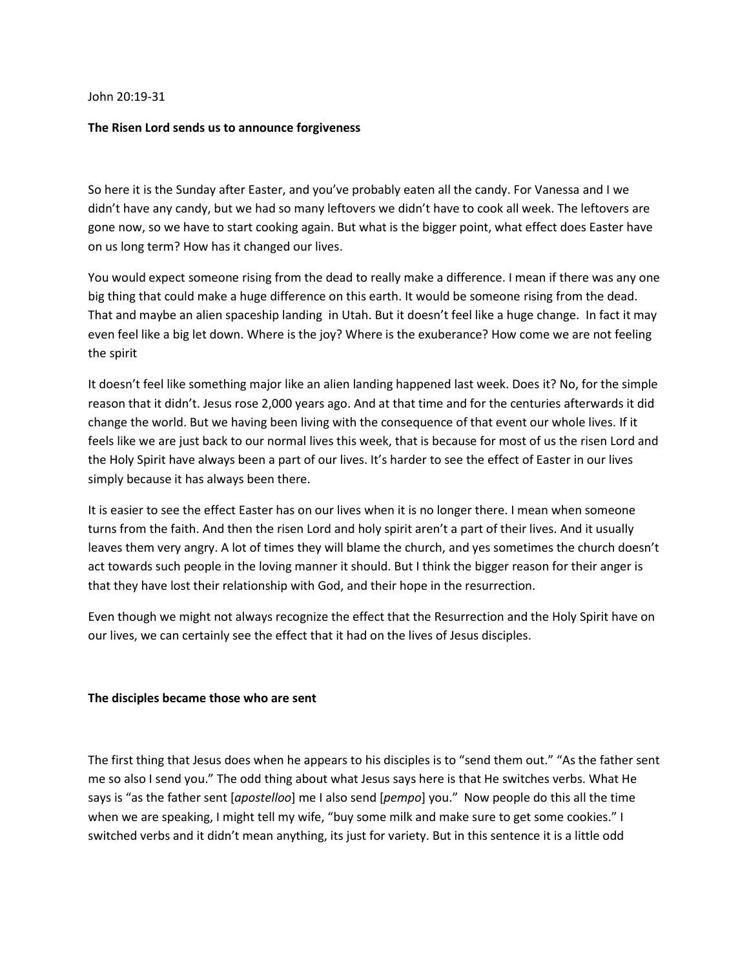#### John 20:19-31

### **The Risen Lord sends us to announce forgiveness**

So here it is the Sunday after Easter, and you've probably eaten all the candy. For Vanessa and I we didn't have any candy, but we had so many leftovers we didn't have to cook all week. The leftovers are gone now, so we have to start cooking again. But what is the bigger point, what effect does Easter have on us long term? How has it changed our lives.

You would expect someone rising from the dead to really make a difference. I mean if there was any one big thing that could make a huge difference on this earth. It would be someone rising from the dead. That and maybe an alien spaceship landing in Utah. But it doesn't feel like a huge change. In fact it may even feel like a big let down. Where is the joy? Where is the exuberance? How come we are not feeling the spirit

It doesn't feel like something major like an alien landing happened last week. Does it? No, for the simple reason that it didn't. Jesus rose 2,000 years ago. And at that time and for the centuries afterwards it did change the world. But we having been living with the consequence of that event our whole lives. If it feels like we are just back to our normal lives this week, that is because for most of us the risen Lord and the Holy Spirit have always been a part of our lives. It's harder to see the effect of Easter in our lives simply because it has always been there.

It is easier to see the effect Easter has on our lives when it is no longer there. I mean when someone turns from the faith. And then the risen Lord and holy spirit aren't a part of their lives. And it usually leaves them very angry. A lot of times they will blame the church, and yes sometimes the church doesn't act towards such people in the loving manner it should. But I think the bigger reason for their anger is that they have lost their relationship with God, and their hope in the resurrection.

Even though we might not always recognize the effect that the Resurrection and the Holy Spirit have on our lives, we can certainly see the effect that it had on the lives of Jesus disciples.

### **The disciples became those who are sent**

The first thing that Jesus does when he appears to his disciples is to "send them out." "As the father sent me so also I send you." The odd thing about what Jesus says here is that He switches verbs. What He says is "as the father sent [*apostelloo*] me I also send [*pempo*] you." Now people do this all the time when we are speaking, I might tell my wife, "buy some milk and make sure to get some cookies." I switched verbs and it didn't mean anything, its just for variety. But in this sentence it is a little odd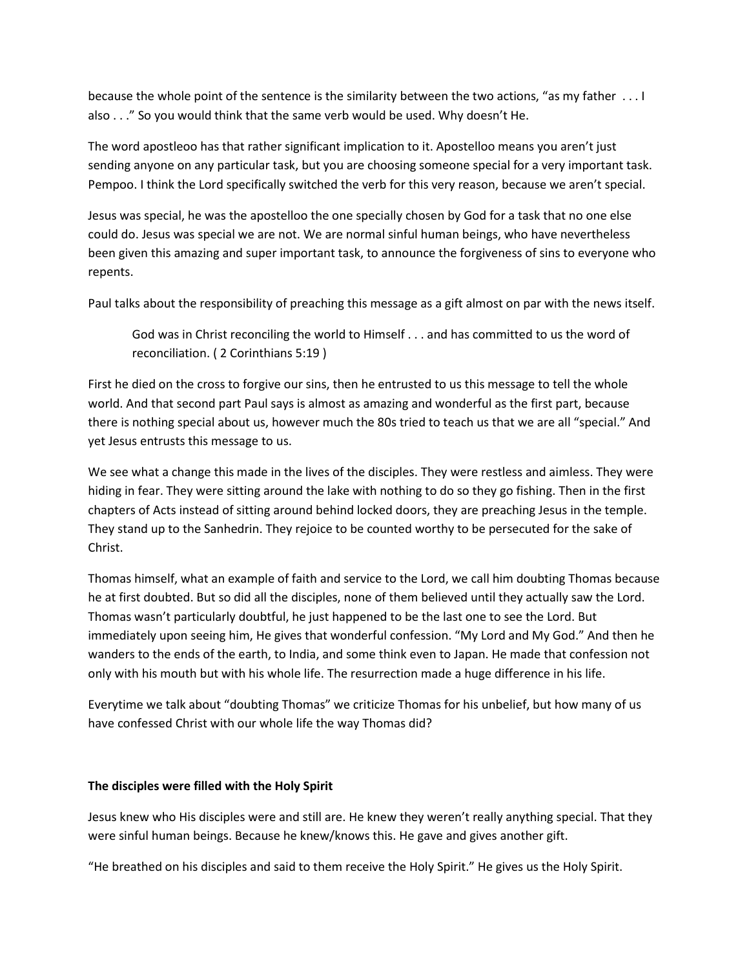because the whole point of the sentence is the similarity between the two actions, "as my father . . . I also . . ." So you would think that the same verb would be used. Why doesn't He.

The word apostleoo has that rather significant implication to it. Apostelloo means you aren't just sending anyone on any particular task, but you are choosing someone special for a very important task. Pempoo. I think the Lord specifically switched the verb for this very reason, because we aren't special.

Jesus was special, he was the apostelloo the one specially chosen by God for a task that no one else could do. Jesus was special we are not. We are normal sinful human beings, who have nevertheless been given this amazing and super important task, to announce the forgiveness of sins to everyone who repents.

Paul talks about the responsibility of preaching this message as a gift almost on par with the news itself.

God was in Christ reconciling the world to Himself . . . and has committed to us the word of reconciliation. ( 2 Corinthians 5:19 )

First he died on the cross to forgive our sins, then he entrusted to us this message to tell the whole world. And that second part Paul says is almost as amazing and wonderful as the first part, because there is nothing special about us, however much the 80s tried to teach us that we are all "special." And yet Jesus entrusts this message to us.

We see what a change this made in the lives of the disciples. They were restless and aimless. They were hiding in fear. They were sitting around the lake with nothing to do so they go fishing. Then in the first chapters of Acts instead of sitting around behind locked doors, they are preaching Jesus in the temple. They stand up to the Sanhedrin. They rejoice to be counted worthy to be persecuted for the sake of Christ.

Thomas himself, what an example of faith and service to the Lord, we call him doubting Thomas because he at first doubted. But so did all the disciples, none of them believed until they actually saw the Lord. Thomas wasn't particularly doubtful, he just happened to be the last one to see the Lord. But immediately upon seeing him, He gives that wonderful confession. "My Lord and My God." And then he wanders to the ends of the earth, to India, and some think even to Japan. He made that confession not only with his mouth but with his whole life. The resurrection made a huge difference in his life.

Everytime we talk about "doubting Thomas" we criticize Thomas for his unbelief, but how many of us have confessed Christ with our whole life the way Thomas did?

## **The disciples were filled with the Holy Spirit**

Jesus knew who His disciples were and still are. He knew they weren't really anything special. That they were sinful human beings. Because he knew/knows this. He gave and gives another gift.

"He breathed on his disciples and said to them receive the Holy Spirit." He gives us the Holy Spirit.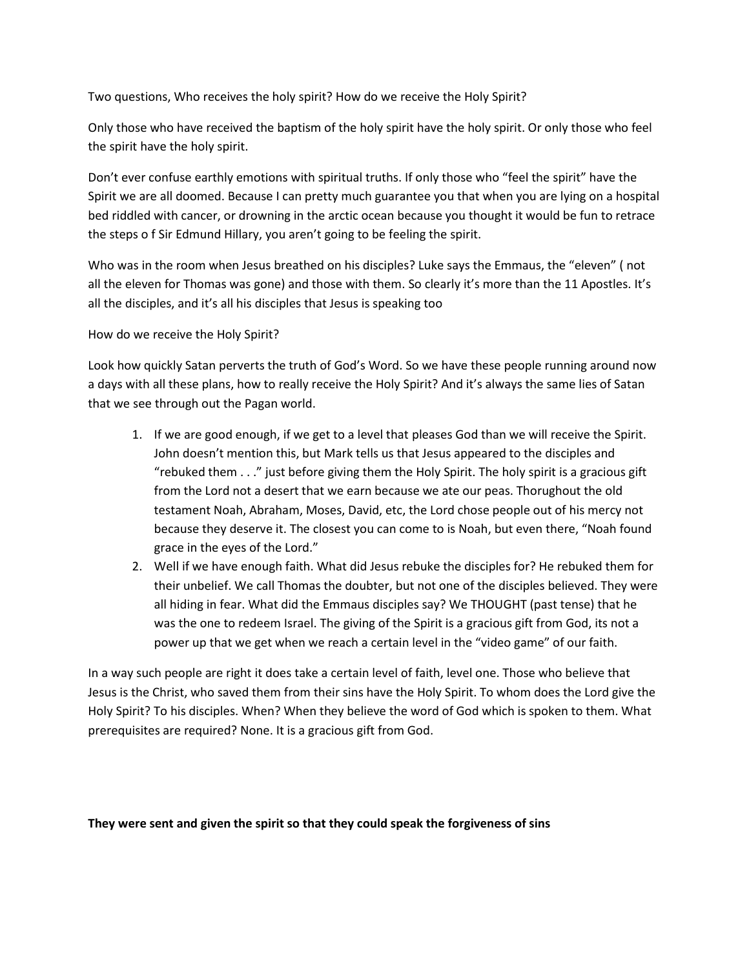Two questions, Who receives the holy spirit? How do we receive the Holy Spirit?

Only those who have received the baptism of the holy spirit have the holy spirit. Or only those who feel the spirit have the holy spirit.

Don't ever confuse earthly emotions with spiritual truths. If only those who "feel the spirit" have the Spirit we are all doomed. Because I can pretty much guarantee you that when you are lying on a hospital bed riddled with cancer, or drowning in the arctic ocean because you thought it would be fun to retrace the steps o f Sir Edmund Hillary, you aren't going to be feeling the spirit.

Who was in the room when Jesus breathed on his disciples? Luke says the Emmaus, the "eleven" ( not all the eleven for Thomas was gone) and those with them. So clearly it's more than the 11 Apostles. It's all the disciples, and it's all his disciples that Jesus is speaking too

# How do we receive the Holy Spirit?

Look how quickly Satan perverts the truth of God's Word. So we have these people running around now a days with all these plans, how to really receive the Holy Spirit? And it's always the same lies of Satan that we see through out the Pagan world.

- 1. If we are good enough, if we get to a level that pleases God than we will receive the Spirit. John doesn't mention this, but Mark tells us that Jesus appeared to the disciples and "rebuked them . . ." just before giving them the Holy Spirit. The holy spirit is a gracious gift from the Lord not a desert that we earn because we ate our peas. Thorughout the old testament Noah, Abraham, Moses, David, etc, the Lord chose people out of his mercy not because they deserve it. The closest you can come to is Noah, but even there, "Noah found grace in the eyes of the Lord."
- 2. Well if we have enough faith. What did Jesus rebuke the disciples for? He rebuked them for their unbelief. We call Thomas the doubter, but not one of the disciples believed. They were all hiding in fear. What did the Emmaus disciples say? We THOUGHT (past tense) that he was the one to redeem Israel. The giving of the Spirit is a gracious gift from God, its not a power up that we get when we reach a certain level in the "video game" of our faith.

In a way such people are right it does take a certain level of faith, level one. Those who believe that Jesus is the Christ, who saved them from their sins have the Holy Spirit. To whom does the Lord give the Holy Spirit? To his disciples. When? When they believe the word of God which is spoken to them. What prerequisites are required? None. It is a gracious gift from God.

**They were sent and given the spirit so that they could speak the forgiveness of sins**